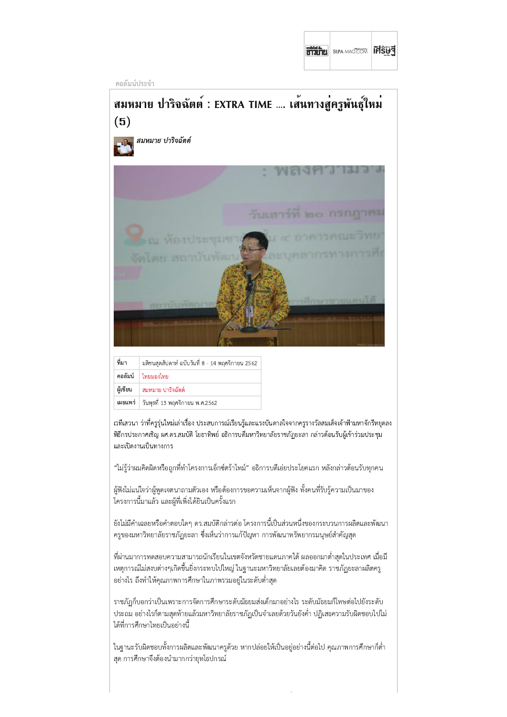| 8732721 | <b>SILPA-MAG.COM</b> | <b>FUSHI</b> |  |
|---------|----------------------|--------------|--|
|---------|----------------------|--------------|--|

คอลัมน์ประจำ



| ที่มา    | มติชนสุดสัปดาห์ ฉบับวันที่ 8 - 14 พฤศจิกายน 2562 |
|----------|--------------------------------------------------|
|          | ี คอลัมน์   ไทยมองไทย                            |
| ผู้เขียน | สมหมาย ปาริจฉัตต์                                |
| เผยแพร่  | วันพุธที่ 13 พฤศจิกายน พ.ศ.2562                  |

้เวทีเสวนา ว่าที่ครูรุ่นใหม่เล่าเรื่อง ประสบการณ์เรียนรู้และแรงบันดาลใจจากครูรางวัลสมเด็จเจ้าฟ้ามหาจักรีหยุดลง พิธีกรประกาศเชิญ ผศ.ดร.สมบัติ โยธาทิพย์ อธิการบดีมหาวิทยาลัยราชภัฏยะลา กล่าวต้อนรับผู้เข้าร่วมประชุม และเปิดงานเป็นทางการ

"ไม่รู้ว่าผมคิดผิดหรือถูกที่ทำโครงการเอ็กซ์ตร้าไทม์" อธิการบดีเอ่ยประโยคแรก หลังกล่าวต้อนรับทุกคน

ผู้ฟังไม่แน่ใจว่าผู้พูดเจตนาถามตัวเอง หรือต้องการขอความเห็นจากผู้ฟัง ทั้งคนที่รับรู้ความเป็นมาของ โครงการนี้มาแล้ว และผู้ที่เพิ่งได้ยินเป็นครั้งแรก

้ยังไม่มีคำเฉลยหรือคำตอบใดๆ ดร.สมบัติกล่าวต่อ โครงการนี้เป็นส่วนหนึ่งของกระบวนการผลิตและพัฒนา ่ ครูของมหาวิทยาลัยราชภัฏยะลา ซึ่งเห็นว่าการแก้ปัญหา การพัฒนาทรัพยากรมนุษย์สำคัญสุด

ที่ผ่านมาการทดสอบความสามารถนักเรียนในเขตจังหวัดชายแดนภาคใต้ ผลออกมาต่ำสุดในประเทศ เมื่อมี ่ เหตุการณ์ไม่สงบต่างๆเกิดขึ้นยิ่งกระทบไปใหญ่ ในฐานะมหาวิทยาลัยเลยต้องมาคิด ราชภัฏยะลาผลิตครู ้อย่างไร ถึงทำให้คุณภาพการศึกษาในภาพรวมอยู่ในระดับต่ำสุด

ราชภัฏก็บอกว่าเป็นเพราะการจัดการศึกษาระดับมัธยมส่งเด็กมาอย่างไร ระดับมัธยมก็โทษต่อไปยังระดับ ประถม อย่างไรก็ตามสุดท้ายแล้วมหาวิทยาลัยราชภัฏเป็นจำเลยด้วยวันยังค่ำ ปฏิเสธความรับผิดชอบไปไม่ ได้ที่การศึกษาไทยเป็นอย่างนี้

ในฐานะรับผิดชอบทั้งการผลิตและพัฒนาครูด้วย หากปล่อยให้เป็นอยู่อย่างนี้ต่อไป คุณภาพการศึกษาก็ต่ำ สุด การศึกษาจึงต้องนำมากกว่ายุทโธปกรณ์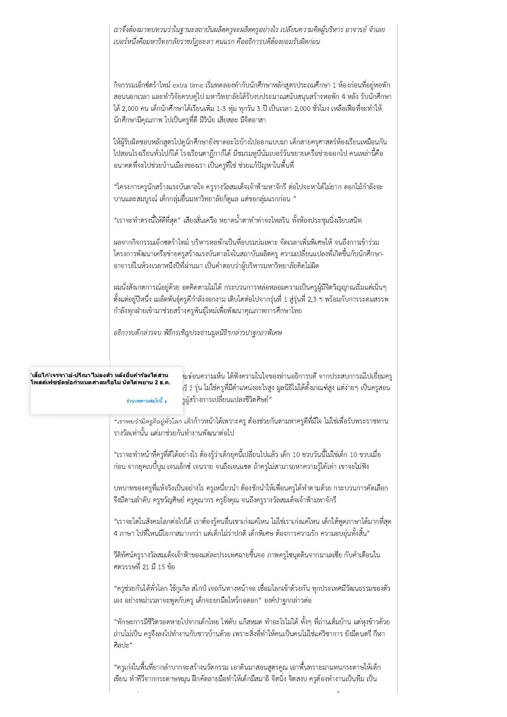เราจึงต้องมาทบทวนว่าในฐานะสถาบันผลิตครูจะผลิตครูอย่างไร เปลี่ยนความคิดผู้บริหาร อาจารย์ จำเลย เบอร์หนึ่งคือมหาวิทยาลัยราชภัฏยะลา คนแรก คืออธิการบดีต้องยอมรับผิดก่อน

กิจกรรมเอ็กซ์ตร้าไทม์ extra time เริ่มทดลองทำกับนักศึกษาหลักสูตรประถมศึกษา 1 ห้องก่อนที่อยู่หอพัก สอนนอกเวลา และทำวิจัยควบคู่ไป มหาวิทยาลัยได้รับงบประมาณสนับสนุนสร้างหอพัก 4 หลัง รับนักศึกษา ได้ 2,000 คน เด็กนักศึกษาได้เรียนเพิ่ม 1-3 ทุ่ม ทุกวัน 3 ปี เป็นเวลา 2,000 ชั่วโมง เหลือเฟือที่จะทำให้ ้นักศึกษามีคุณภาพ ไปเป็นครูที่ดี มีวินัย เสียสละ มีจิตอาสา

ให้ผู้รับผิดชอบหลักสูตรไปดูนักศึกษายังขาดอะไรบ้างไปออกแบบมา เด็กสายครุศาสตร์ห้องเรียนเหมือนกัน ไปสอนโรงเรียนทั่วไปก็ได้ โรงเรียนตาฎีกาก็ได้ มีชมรมทูบีนัมเบอร์วันขยายเครือข่ายออกไป คนเหล่านี้คือ ้อนาคตที่จะไปช่วยบ้านเมืองของเรา เป็นครูที่ใช่ ช่วยแก้ปัญหาในพื้นที่

"โครงการครูนักสร้างแรงบันดาลใจ ครูรางวัลสมเด็จเจ้าฟ้ามหาจักรี ต่อไปจะหาได้ไม่ยาก ดอกไม้กำลังจะ ้บานและสมบูรณ์ เด็กกลุ่มอื่นมหาวิทยาลัยก็ดูแล แต่ขอกลุ่มแรกก่อน "

"เราจะทำตรงนี้ให้ดีที่สุด" เสียงสั่นเครือ หยาดน้ำตาทำท่าจะไหลริน ทั้งห้องประชุมนิ่งเงียบสนิท

้ผลจากกิจกรรมเอ็กซตร้าไทม์ บริหารหอพักเป็นที่อบรมบ่มเพาะ จัดเวลาเพิ่มพิเศษให้ จนถึงการเข้าร่วม โครงการพัฒนาเครือข่ายครูสร้างแรงบันดาลใจในสถาบันผลิตครู ความเปลี่ยนแปลงที่เกิดขึ้นกับนักศึกษา-้อาจารย์ในห้วงเวลาหนึ่งปีที่ผ่านมา เป็นคำตอบว่าผู้บริหารมหาวิทยาลัยคิดไม่ผิด

่ ผมนั่งสังเกตการณ์อยู่ด้วย อดคิดตามไม่ได้ กระบวนการหล่อหลอมความเป็นครูผู้มีจิตวิญญาณเริ่มแต่เนิ่นๆ ้ ตั้งแต่อยู่ปีหนึ่ง เมล็ดพันธุ์ครูดีกำลังงอกงาม เติบโตต่อไปจากรุ่นที่ 1 สู่รุ่นที่ 2,3 ฯ พร้อมกับการระดมสรรพ กำลังทุกฝ่ายเข้ามาช่วยสร้างครูพันธุ์ใหม่เพื่อพัฒนาคุณภาพการศึกษาไทย

อธิการบดีกล่าวจบ พิธีกรเชิญประธานมูลนิธิฯกล่าวปาฐกถาพิเศษ

## ็'เสี่ยไก่'เจรจา'เอ๋-ปรีณา'ใม่ลงตัว หลังยื่นคำร้องไต่สวน โพสต์เฟชขัดข้อกำหนดศาลหรือไม่ นัดไต่พยาน 2 ธ.ค.

อ่านบทความต่อไปนี้ >

้เะท้อนความเห็น ได้ฟังความในใจของท่านอธิการบดี จากประสบการณ์ไปเยี่ยมครู เรี 2 รุ่น ไม่ใช่ครูที่มีตำแหน่งอะไรสูง มูลนิธิไม่ได้ตั้งเกณฑ์สูง แต่ง่ายๆ เป็นครูสอน รผู้สร้างการเปลี่ยนแปลงชีวิตศิษย์"

"เราพบว่ามีครูคือยู่ทั่วโลก เด็กก้าวหน้าได้เพราะครู ต้องช่วยกันตามหาครูดีที่มีใจ ไม่ใช่เพื่อรับพระราชทาน รางวัลเท่านั้น แต่มาช่วยกันทำงานพัฒนาต่อไป

"เราจะทำหน้าที่ครูที่ดีได้อย่างไร ต้องรู้ว่าเด็กยุคนี้เปลี่ยนไปแล้ว เด็ก 10 ขวบวันนี้ไม่ใช่เด็ก 10 ขวบเมื่อ ้ก่อน จากยุคเบบี้บูม เจนเอ็กซ์ เจนวาย จนถึงเจนแซต ถ้าครูไม่สามารถหาความรู้ได้เท่า เขาจะไม่ฟัง

ิบทบาทของครูที่แท้จริงเป็นอย่างไร ครูเหนี่ยวนำ ต้องชักนำให้เพื่อนครูได้ทำตามด้วย กระบวนการคัดเลือก ี จึงมีตามลำดับ ครูขวัญศิษย์ ครูคุณากร ครูยิ่งคุณ จนถึงครูรางวัลสมเด็จเจ้าฟ้ามหาจักรี

"เราจะโตในสังคมโลกต่อไปได้ เราต้องรู้คนอื่นเขาเก่งแค่ไหน ไม่ใช่เราเก่งแค่ไหน เด็กใต้พูดภาษาได้มากที่สุด ่ 4 ภาษา ไปที่ไหนมีโอกาสมากกว่า แต่เด็กไม่ว่าปกติ เด็กพิเศษ ต้องการความรัก ความอบอุ่นทั้งสิ้น"

ี วีดิทัศน์ครูรางวัลสมเด็จเจ้าฟ้าของแต่ละประเทศฉายขึ้นจอ ภาพครูไซนุดดินจากมาเลเชีย กับคำเตือนใน ศตวรรษที่ 21 มี 15 ข้อ

"ครูช่วยกันได้ทั่วโลก ใช้กูเกิล สไกป์ เจอกันทางหน้าจอ เชื่อมโลกเข้าด้วยกัน ทุกประเทศมีวัฒนธรรมของตัว เอง อย่างพม่าเวลาจะพูดกับครู เด็กจะยกมือไหว้กอดอก" องค์ปาฐกกล่าวต่อ

"ทักษะการมีชีวิตรอดหายไปจากเด็กไทย ไฟดับ แก๊สหมด ทำอะไรไม่ได้ ทั้งๆ ที่ถ่านเต็มบ้าน แต่หุงข้าวด้วย ้ถ่านไม่เป็น ครูจึงลงไปทำงานกับชาวบ้านด้วย เพราะสิ่งที่ทำให้คนเป็นคนไม่ใช่แค่วิชาการ ยังมีดนตรี กีฬา ศิลปะ"

"ครูเก่งในพื้นที่ยากลำบากจะสร้างนวัตกรรม เอาดินมาสอนสูตรคูณ เอาพื้นทรายมาแทนกระดาษให้เด็ก ้เขียน ทำทีวีจากกระดาษหมุน ฝึกคัดลายมือทำให้เด็กมีสมาธิ จิตนิ่ง จิตสงบ ครูต้องทำงานเป็นทีม เป็น